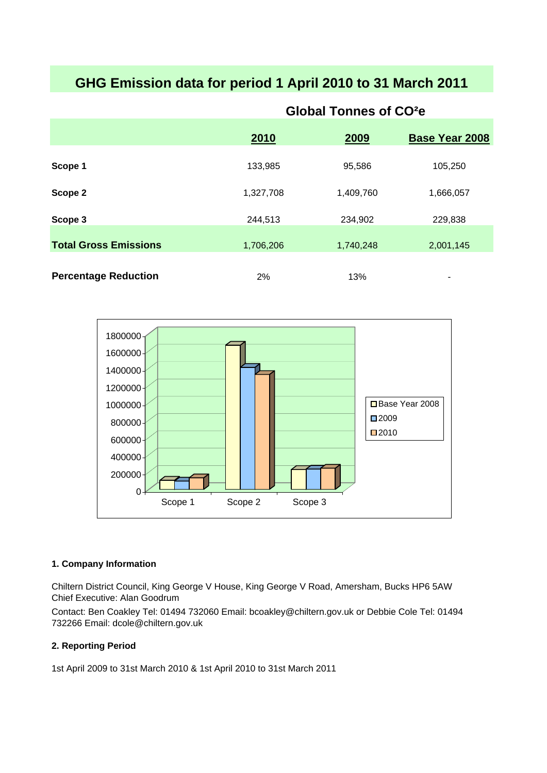# **GHG Emission data for period 1 April 2010 to 31 March 2011**

|                              | 2010      | 2009      | <b>Base Year 2008</b> |
|------------------------------|-----------|-----------|-----------------------|
|                              |           |           |                       |
| Scope 1                      | 133,985   | 95,586    | 105,250               |
| Scope 2                      | 1,327,708 | 1,409,760 | 1,666,057             |
| Scope 3                      | 244,513   | 234,902   | 229,838               |
| <b>Total Gross Emissions</b> | 1,706,206 | 1,740,248 | 2,001,145             |
| <b>Percentage Reduction</b>  | 2%        | 13%       | ۰                     |

# **Global Tonnes of CO²e**



# **1. Company Information**

Chiltern District Council, King George V House, King George V Road, Amersham, Bucks HP6 5AW Chief Executive: Alan Goodrum

Contact: Ben Coakley Tel: 01494 732060 Email: bcoakley@chiltern.gov.uk or Debbie Cole Tel: 01494 732266 Email: dcole@chiltern.gov.uk

# **2. Reporting Period**

1st April 2009 to 31st March 2010 & 1st April 2010 to 31st March 2011